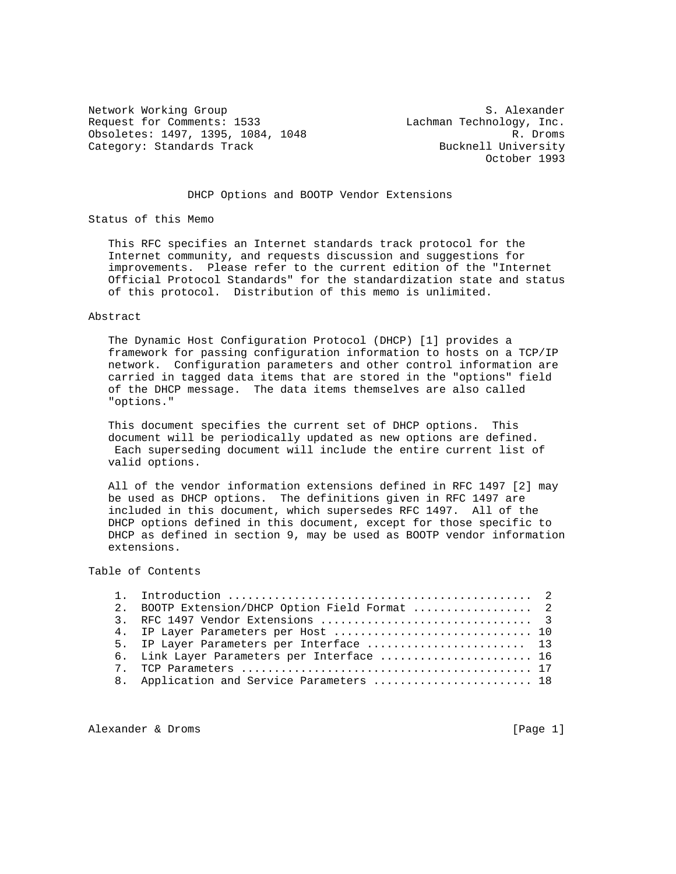Network Working Group S. Alexander Request for Comments: 1533 Lachman Technology, Inc. Obsoletes: 1497, 1395, 1084, 1048 R. Droms<br>Category: Standards Track Category: Standards Track Category: Standards Track

October 1993

## DHCP Options and BOOTP Vendor Extensions

Status of this Memo

 This RFC specifies an Internet standards track protocol for the Internet community, and requests discussion and suggestions for improvements. Please refer to the current edition of the "Internet Official Protocol Standards" for the standardization state and status of this protocol. Distribution of this memo is unlimited.

#### Abstract

 The Dynamic Host Configuration Protocol (DHCP) [1] provides a framework for passing configuration information to hosts on a TCP/IP network. Configuration parameters and other control information are carried in tagged data items that are stored in the "options" field of the DHCP message. The data items themselves are also called "options."

 This document specifies the current set of DHCP options. This document will be periodically updated as new options are defined. Each superseding document will include the entire current list of valid options.

 All of the vendor information extensions defined in RFC 1497 [2] may be used as DHCP options. The definitions given in RFC 1497 are included in this document, which supersedes RFC 1497. All of the DHCP options defined in this document, except for those specific to DHCP as defined in section 9, may be used as BOOTP vendor information extensions.

# Table of Contents

| 2. BOOTP Extension/DHCP Option Field Format  2 |  |
|------------------------------------------------|--|
|                                                |  |
| 4. IP Layer Parameters per Host  10            |  |
| 5. IP Layer Parameters per Interface  13       |  |
| 6. Link Layer Parameters per Interface  16     |  |
|                                                |  |
| 8. Application and Service Parameters  18      |  |

Alexander & Droms [Page 1]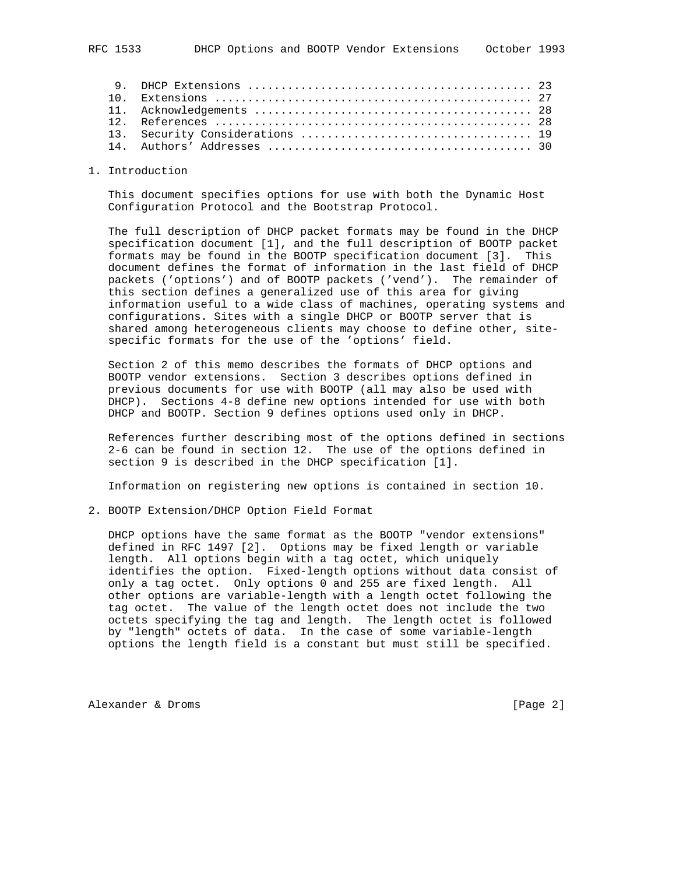1. Introduction

 This document specifies options for use with both the Dynamic Host Configuration Protocol and the Bootstrap Protocol.

 The full description of DHCP packet formats may be found in the DHCP specification document [1], and the full description of BOOTP packet formats may be found in the BOOTP specification document [3]. This document defines the format of information in the last field of DHCP packets ('options') and of BOOTP packets ('vend'). The remainder of this section defines a generalized use of this area for giving information useful to a wide class of machines, operating systems and configurations. Sites with a single DHCP or BOOTP server that is shared among heterogeneous clients may choose to define other, site specific formats for the use of the 'options' field.

 Section 2 of this memo describes the formats of DHCP options and BOOTP vendor extensions. Section 3 describes options defined in previous documents for use with BOOTP (all may also be used with DHCP). Sections 4-8 define new options intended for use with both DHCP and BOOTP. Section 9 defines options used only in DHCP.

 References further describing most of the options defined in sections 2-6 can be found in section 12. The use of the options defined in section 9 is described in the DHCP specification [1].

Information on registering new options is contained in section 10.

2. BOOTP Extension/DHCP Option Field Format

 DHCP options have the same format as the BOOTP "vendor extensions" defined in RFC 1497 [2]. Options may be fixed length or variable length. All options begin with a tag octet, which uniquely identifies the option. Fixed-length options without data consist of only a tag octet. Only options 0 and 255 are fixed length. All other options are variable-length with a length octet following the tag octet. The value of the length octet does not include the two octets specifying the tag and length. The length octet is followed by "length" octets of data. In the case of some variable-length options the length field is a constant but must still be specified.

Alexander & Droms (Page 2)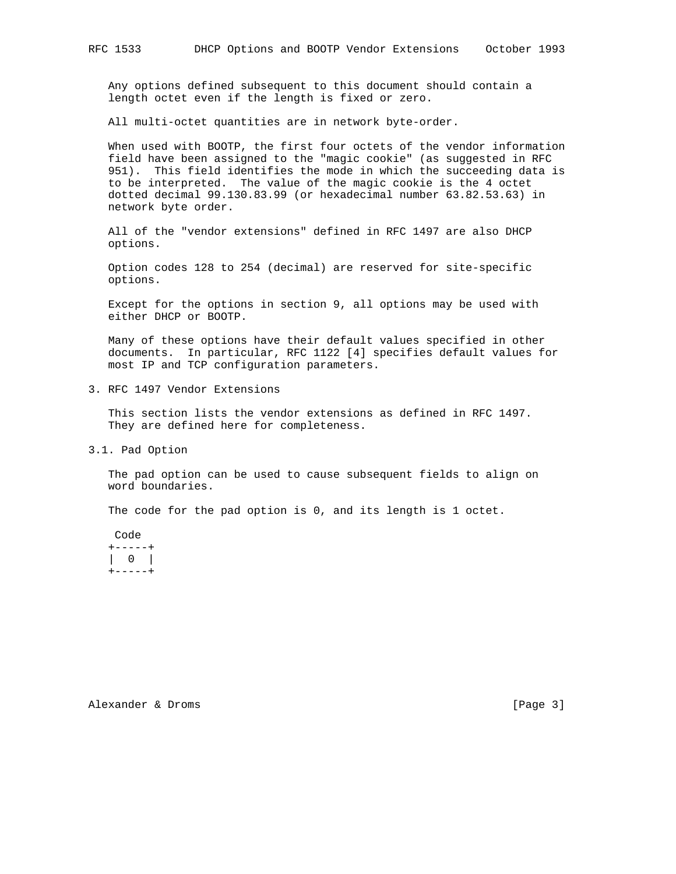Any options defined subsequent to this document should contain a length octet even if the length is fixed or zero.

All multi-octet quantities are in network byte-order.

 When used with BOOTP, the first four octets of the vendor information field have been assigned to the "magic cookie" (as suggested in RFC 951). This field identifies the mode in which the succeeding data is to be interpreted. The value of the magic cookie is the 4 octet dotted decimal 99.130.83.99 (or hexadecimal number 63.82.53.63) in network byte order.

 All of the "vendor extensions" defined in RFC 1497 are also DHCP options.

 Option codes 128 to 254 (decimal) are reserved for site-specific options.

 Except for the options in section 9, all options may be used with either DHCP or BOOTP.

 Many of these options have their default values specified in other documents. In particular, RFC 1122 [4] specifies default values for most IP and TCP configuration parameters.

3. RFC 1497 Vendor Extensions

 This section lists the vendor extensions as defined in RFC 1497. They are defined here for completeness.

3.1. Pad Option

 The pad option can be used to cause subsequent fields to align on word boundaries.

The code for the pad option is 0, and its length is 1 octet.

 Code +-----+ | 0 |  $+----++$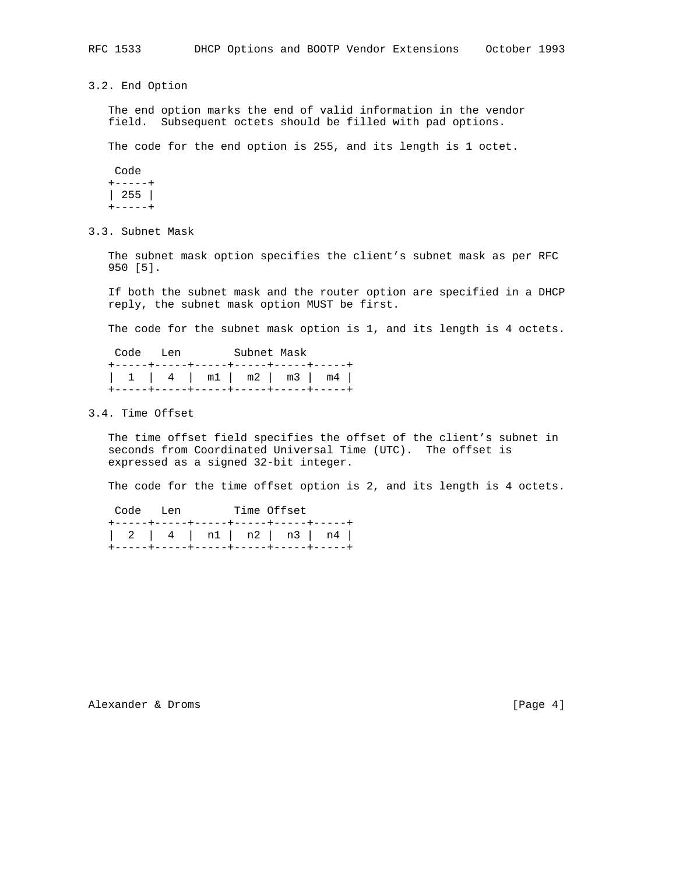3.2. End Option

 The end option marks the end of valid information in the vendor field. Subsequent octets should be filled with pad options.

The code for the end option is 255, and its length is 1 octet.

 Code +-----+ | 255 |  $+----++$ 

3.3. Subnet Mask

 The subnet mask option specifies the client's subnet mask as per RFC 950 [5].

 If both the subnet mask and the router option are specified in a DHCP reply, the subnet mask option MUST be first.

The code for the subnet mask option is 1, and its length is 4 octets.

| Code Len                                                                                                          | Subnet Mask |  |  |
|-------------------------------------------------------------------------------------------------------------------|-------------|--|--|
| +-----+----+-----+-----+----+----+----<br>  1   4   m1   m2   m3   m4  <br>+-----+----+-----+-----+----+----+---- |             |  |  |

### 3.4. Time Offset

 The time offset field specifies the offset of the client's subnet in seconds from Coordinated Universal Time (UTC). The offset is expressed as a signed 32-bit integer.

The code for the time offset option is 2, and its length is 4 octets.

| Code Len |  | Time Offset                            |                        |
|----------|--|----------------------------------------|------------------------|
|          |  | +-----+----+-----+-----+----+----+---- | 1 2 4 1 n1  n2  n3  n4 |
|          |  | +------+----+-----+-----+----+---+---- |                        |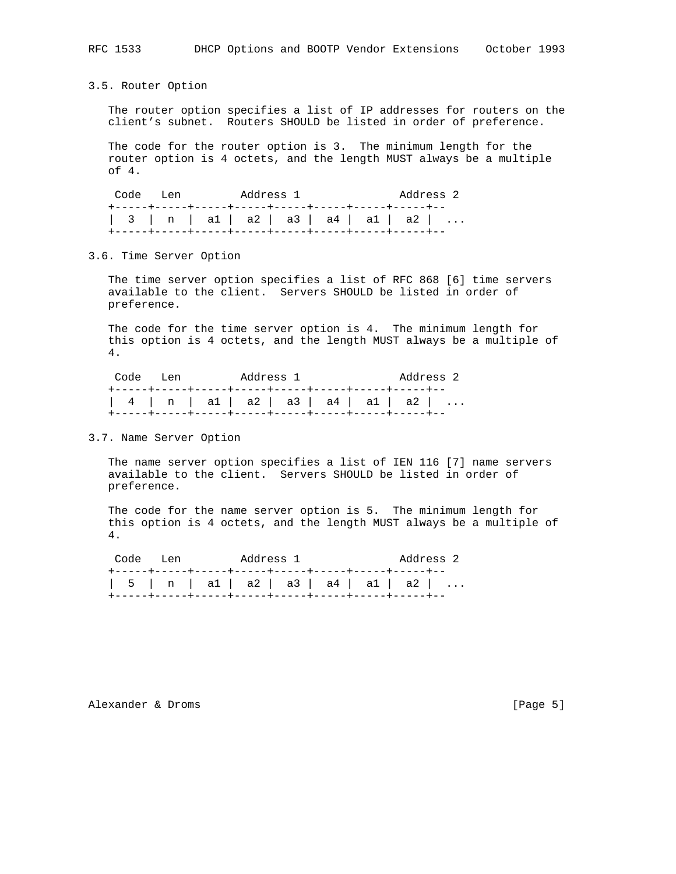## 3.5. Router Option

 The router option specifies a list of IP addresses for routers on the client's subnet. Routers SHOULD be listed in order of preference.

 The code for the router option is 3. The minimum length for the router option is 4 octets, and the length MUST always be a multiple of 4.

| Code Len                            |  | Address 1 |  |  | Address 2 |
|-------------------------------------|--|-----------|--|--|-----------|
| 3   n   a1   a2   a3   a4   a1   a2 |  |           |  |  |           |

### 3.6. Time Server Option

 The time server option specifies a list of RFC 868 [6] time servers available to the client. Servers SHOULD be listed in order of preference.

 The code for the time server option is 4. The minimum length for this option is 4 octets, and the length MUST always be a multiple of 4.

| Code Len                                   |  | Address 1 |  |  | Address 2 |
|--------------------------------------------|--|-----------|--|--|-----------|
| $  4   n   a1   a2   a3   a4   a1   a2   $ |  |           |  |  |           |

### 3.7. Name Server Option

 The name server option specifies a list of IEN 116 [7] name servers available to the client. Servers SHOULD be listed in order of preference.

 The code for the name server option is 5. The minimum length for this option is 4 octets, and the length MUST always be a multiple of 4.

|                                             | Address 2 |
|---------------------------------------------|-----------|
| $\vert$ 5   n   a1   a2   a3   a4   a1   a2 |           |

## Alexander & Droms [Page 5]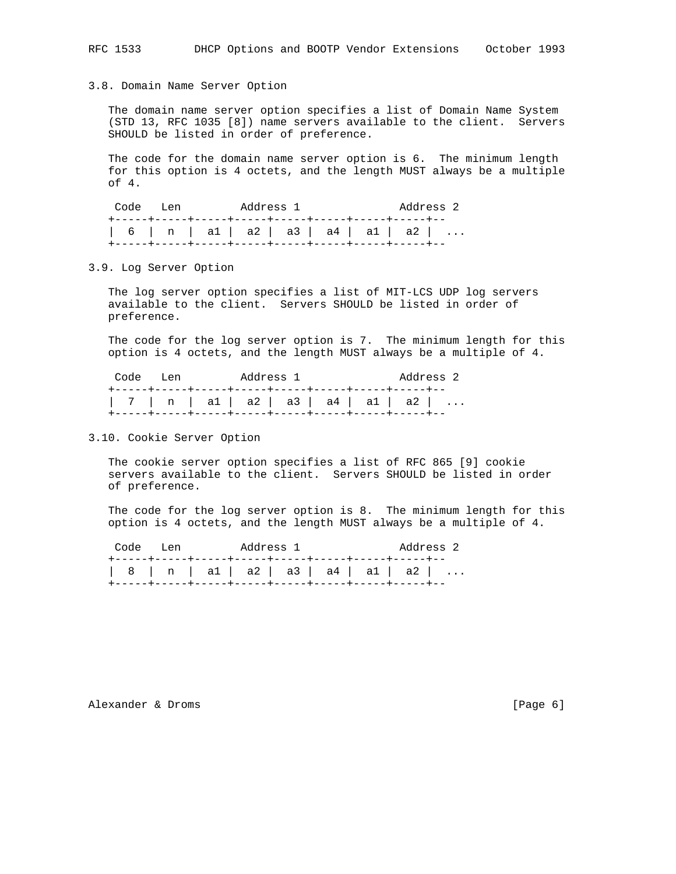#### 3.8. Domain Name Server Option

 The domain name server option specifies a list of Domain Name System (STD 13, RFC 1035 [8]) name servers available to the client. Servers SHOULD be listed in order of preference.

 The code for the domain name server option is 6. The minimum length for this option is 4 octets, and the length MUST always be a multiple of 4.

Code Len Address 1 Address 2 +-----+-----+-----+-----+-----+-----+-----+-----+-- | 6 | n | a1 | a2 | a3 | a4 | a1 | a2 | ... +-----+-----+-----+-----+-----+-----+-----+-----+--

3.9. Log Server Option

 The log server option specifies a list of MIT-LCS UDP log servers available to the client. Servers SHOULD be listed in order of preference.

 The code for the log server option is 7. The minimum length for this option is 4 octets, and the length MUST always be a multiple of 4.

| Code Len                                   |  | Address 1 |  |  | Address 2 |
|--------------------------------------------|--|-----------|--|--|-----------|
|                                            |  |           |  |  |           |
| $  7   n   a1   a2   a3   a4   a1   a2   $ |  |           |  |  |           |

3.10. Cookie Server Option

 The cookie server option specifies a list of RFC 865 [9] cookie servers available to the client. Servers SHOULD be listed in order of preference.

 The code for the log server option is 8. The minimum length for this option is 4 octets, and the length MUST always be a multiple of 4.

| Code Len                            |  | Address 1 |  | Address 2 |  |
|-------------------------------------|--|-----------|--|-----------|--|
| 8   n   a1   a2   a3   a4   a1   a2 |  |           |  |           |  |

Alexander & Droms [Page 6]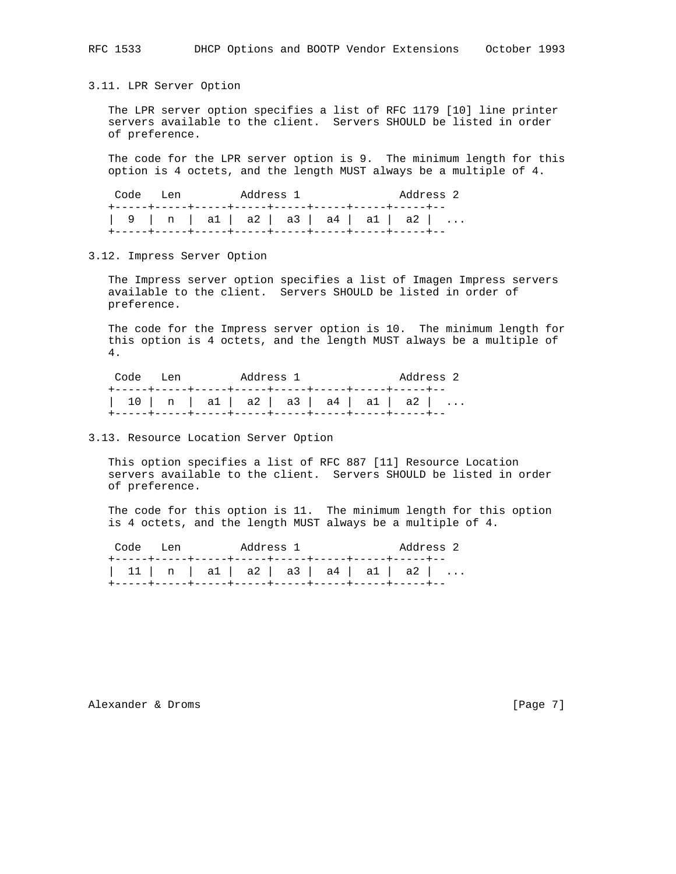RFC 1533 DHCP Options and BOOTP Vendor Extensions October 1993

3.11. LPR Server Option

 The LPR server option specifies a list of RFC 1179 [10] line printer servers available to the client. Servers SHOULD be listed in order of preference.

 The code for the LPR server option is 9. The minimum length for this option is 4 octets, and the length MUST always be a multiple of 4.

| Code Len                            |  | Address 1 |  |  | Address 2 |
|-------------------------------------|--|-----------|--|--|-----------|
| 9   n   a1   a2   a3   a4   a1   a2 |  |           |  |  |           |

3.12. Impress Server Option

 The Impress server option specifies a list of Imagen Impress servers available to the client. Servers SHOULD be listed in order of preference.

 The code for the Impress server option is 10. The minimum length for this option is 4 octets, and the length MUST always be a multiple of 4.

| Code Len | Address 1                                                               | Address 2 |
|----------|-------------------------------------------------------------------------|-----------|
|          | $10 \mid n \mid a1 \mid a2 \mid a3 \mid a4 \mid a1 \mid a2 \mid \ldots$ |           |

3.13. Resource Location Server Option

 This option specifies a list of RFC 887 [11] Resource Location servers available to the client. Servers SHOULD be listed in order of preference.

 The code for this option is 11. The minimum length for this option is 4 octets, and the length MUST always be a multiple of 4.

| Code Len | Address 1 | Address 2                              |  |
|----------|-----------|----------------------------------------|--|
|          |           | $ 11 $ n   a1   a2   a3   a4   a1   a2 |  |

Alexander & Droms [Page 7]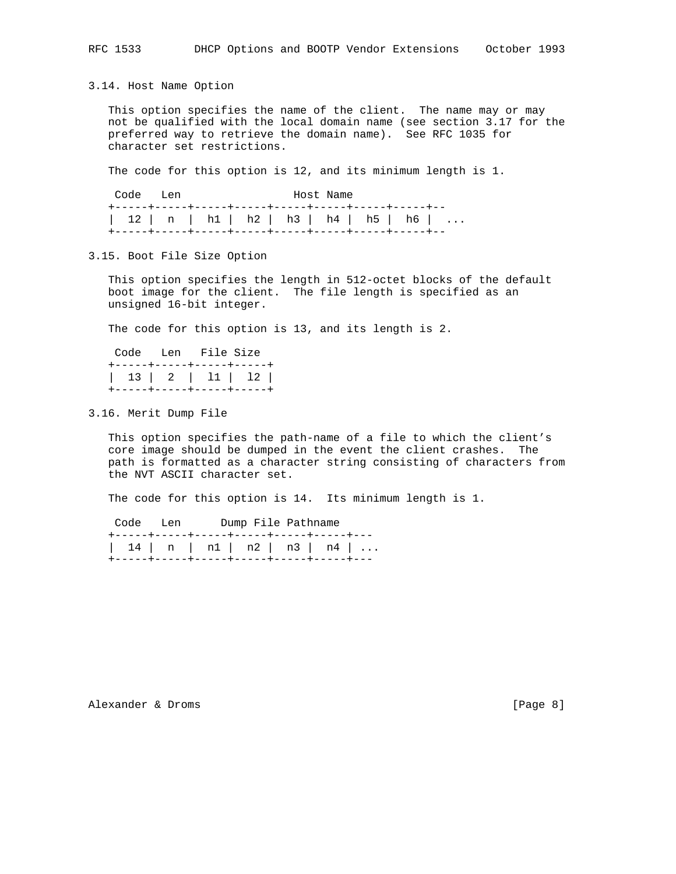3.14. Host Name Option

 This option specifies the name of the client. The name may or may not be qualified with the local domain name (see section 3.17 for the preferred way to retrieve the domain name). See RFC 1035 for character set restrictions.

The code for this option is 12, and its minimum length is 1.

| Code Len                             | Host Name |  |  |  |  |  |  |
|--------------------------------------|-----------|--|--|--|--|--|--|
| 12   n   h1   h2   h3   h4   h5   h6 |           |  |  |  |  |  |  |

3.15. Boot File Size Option

 This option specifies the length in 512-octet blocks of the default boot image for the client. The file length is specified as an unsigned 16-bit integer.

The code for this option is 13, and its length is 2.

|                           | Code Len File Size |  |
|---------------------------|--------------------|--|
| +-----+-----+-----+-----+ |                    |  |
|                           |                    |  |
| +-----+-----+-----+-----+ |                    |  |

3.16. Merit Dump File

 This option specifies the path-name of a file to which the client's core image should be dumped in the event the client crashes. The path is formatted as a character string consisting of characters from the NVT ASCII character set.

The code for this option is 14. Its minimum length is 1.

|  | Code Len |  | Dump File Pathname                        |  |
|--|----------|--|-------------------------------------------|--|
|  |          |  | +-----+-----+-----+------+-----+-----+--- |  |
|  |          |  | $14$   n   n1   n2   n3   n4              |  |
|  |          |  | +-----+-----+-----+-----+-----+-----+-    |  |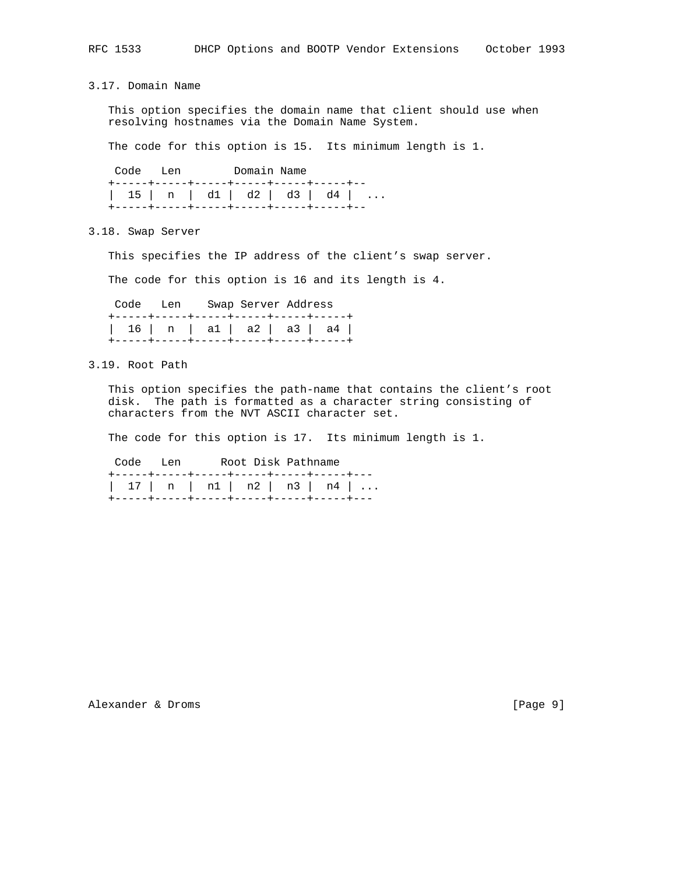3.17. Domain Name

 This option specifies the domain name that client should use when resolving hostnames via the Domain Name System.

The code for this option is 15. Its minimum length is 1.

 Code Len Domain Name +-----+-----+-----+-----+-----+-----+-- | 15 | n | d1 | d2 | d3 | d4 | ... +-----+-----+-----+-----+-----+-----+--

3.18. Swap Server

This specifies the IP address of the client's swap server.

The code for this option is 16 and its length is 4.

|  | Code Len Swap Server Address |  |                                                                                                                  |
|--|------------------------------|--|------------------------------------------------------------------------------------------------------------------|
|  |                              |  | +-----+-----+-----+-----+-----+-----<br>  16   n   a1   a2   a3   a4  <br>+-----+----+-----+-----+----+----+---- |

3.19. Root Path

 This option specifies the path-name that contains the client's root disk. The path is formatted as a character string consisting of characters from the NVT ASCII character set.

The code for this option is 17. Its minimum length is 1.

 Code Len Root Disk Pathname +-----+-----+-----+-----+-----+-----+--- | 17 | n | n1 | n2 | n3 | n4 | ... +-----+-----+-----+-----+-----+-----+---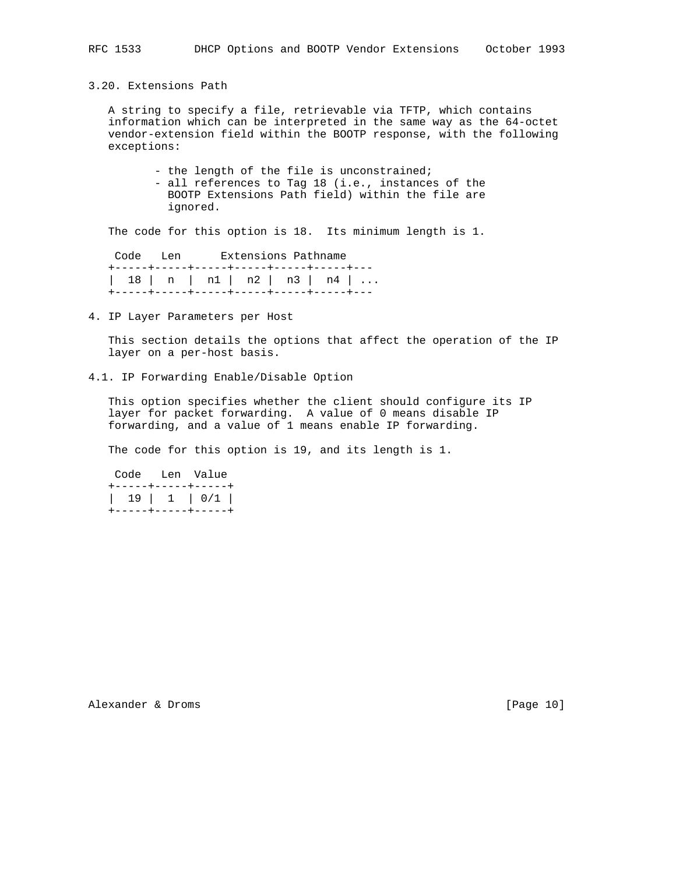3.20. Extensions Path

 A string to specify a file, retrievable via TFTP, which contains information which can be interpreted in the same way as the 64-octet vendor-extension field within the BOOTP response, with the following exceptions:

- the length of the file is unconstrained;

 - all references to Tag 18 (i.e., instances of the BOOTP Extensions Path field) within the file are ignored.

The code for this option is 18. Its minimum length is 1.

 Code Len Extensions Pathname +-----+-----+-----+-----+-----+-----+--- | 18 | n | n1 | n2 | n3 | n4 | ... +-----+-----+-----+-----+-----+-----+---

4. IP Layer Parameters per Host

 This section details the options that affect the operation of the IP layer on a per-host basis.

4.1. IP Forwarding Enable/Disable Option

 This option specifies whether the client should configure its IP layer for packet forwarding. A value of 0 means disable IP forwarding, and a value of 1 means enable IP forwarding.

The code for this option is 19, and its length is 1.

|  | Code Len Value     |
|--|--------------------|
|  | +-----+-----+----+ |
|  |                    |
|  | +-----+-----+----+ |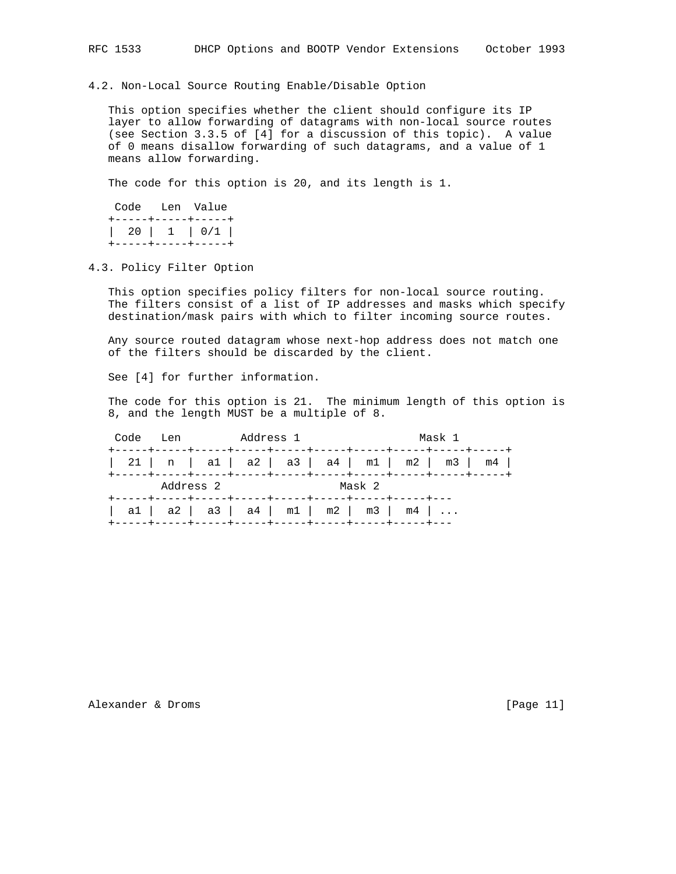4.2. Non-Local Source Routing Enable/Disable Option

 This option specifies whether the client should configure its IP layer to allow forwarding of datagrams with non-local source routes (see Section 3.3.5 of [4] for a discussion of this topic). A value of 0 means disallow forwarding of such datagrams, and a value of 1 means allow forwarding.

The code for this option is 20, and its length is 1.

|  | Code Len Value     |
|--|--------------------|
|  | +-----+-----+----+ |
|  | +-----+-----+----+ |

### 4.3. Policy Filter Option

 This option specifies policy filters for non-local source routing. The filters consist of a list of IP addresses and masks which specify destination/mask pairs with which to filter incoming source routes.

 Any source routed datagram whose next-hop address does not match one of the filters should be discarded by the client.

See [4] for further information.

 The code for this option is 21. The minimum length of this option is 8, and the length MUST be a multiple of 8.

|                                       | Code Len Address 1 |  |        | Mask 1 |                                                      |
|---------------------------------------|--------------------|--|--------|--------|------------------------------------------------------|
|                                       |                    |  |        |        | $  21   n   a1   a2   a3   a4   m1   m2   m3   m4  $ |
|                                       | Address 2          |  | Mask 2 |        |                                                      |
| a1   a2   a3   a4   m1   m2   m3   m4 |                    |  |        |        |                                                      |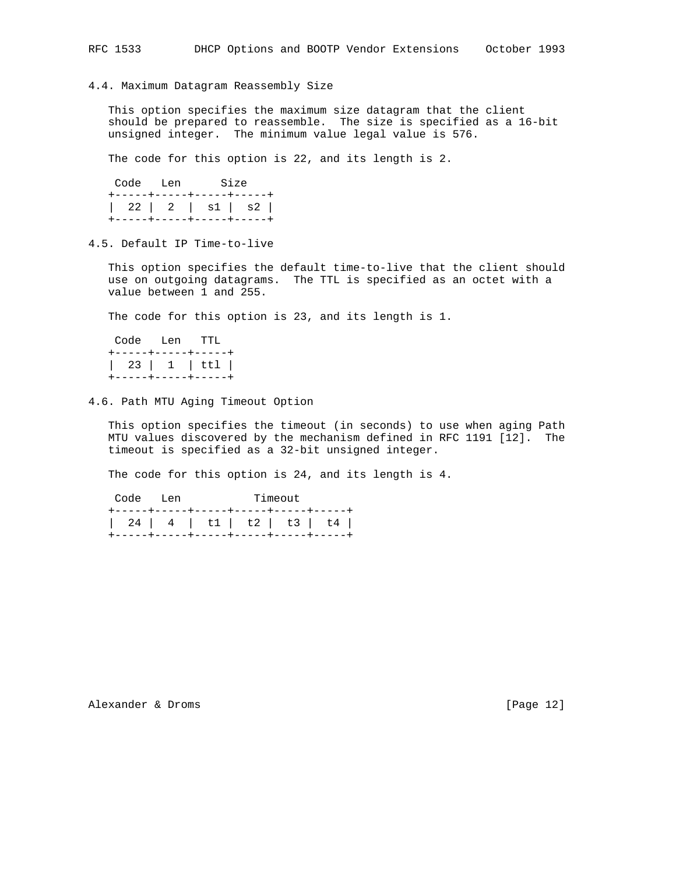4.4. Maximum Datagram Reassembly Size

 This option specifies the maximum size datagram that the client should be prepared to reassemble. The size is specified as a 16-bit unsigned integer. The minimum value legal value is 576.

The code for this option is 22, and its length is 2.

|  | Code Len Size            |
|--|--------------------------|
|  | +-----+-----+----+-----+ |
|  | 22   2   s1   s2         |
|  | +-----+-----+----+-----+ |

4.5. Default IP Time-to-live

 This option specifies the default time-to-live that the client should use on outgoing datagrams. The TTL is specified as an octet with a value between 1 and 255.

The code for this option is 23, and its length is 1.

| Code Len TTL |                                      |
|--------------|--------------------------------------|
|              | +-----+-----+----+                   |
|              | 23   1   ttl  <br>+-----+-----+----+ |

4.6. Path MTU Aging Timeout Option

 This option specifies the timeout (in seconds) to use when aging Path MTU values discovered by the mechanism defined in RFC 1191 [12]. The timeout is specified as a 32-bit unsigned integer.

The code for this option is 24, and its length is 4.

Code Len Timeout +-----+-----+-----+-----+-----+-----+ | 24 | 4 | t1 | t2 | t3 | t4 | +-----+-----+-----+-----+-----+-----+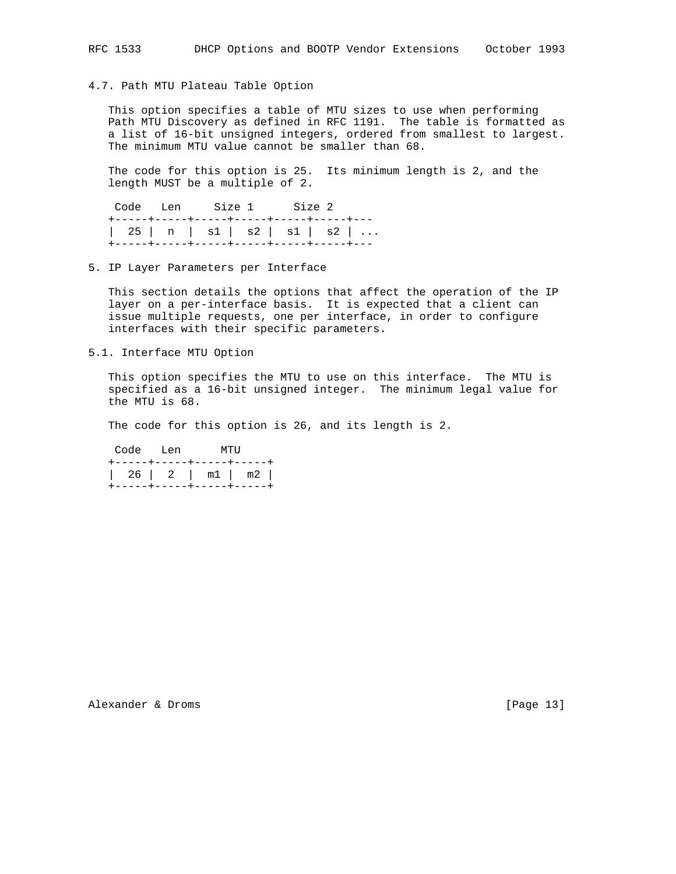#### 4.7. Path MTU Plateau Table Option

 This option specifies a table of MTU sizes to use when performing Path MTU Discovery as defined in RFC 1191. The table is formatted as a list of 16-bit unsigned integers, ordered from smallest to largest. The minimum MTU value cannot be smaller than 68.

 The code for this option is 25. Its minimum length is 2, and the length MUST be a multiple of 2.

 Code Len Size 1 Size 2 +-----+-----+-----+-----+-----+-----+--- | 25 | n | s1 | s2 | s1 | s2 | ... +-----+-----+-----+-----+-----+-----+---

5. IP Layer Parameters per Interface

 This section details the options that affect the operation of the IP layer on a per-interface basis. It is expected that a client can issue multiple requests, one per interface, in order to configure interfaces with their specific parameters.

5.1. Interface MTU Option

 This option specifies the MTU to use on this interface. The MTU is specified as a 16-bit unsigned integer. The minimum legal value for the MTU is 68.

The code for this option is 26, and its length is 2.

 Code Len MTU +-----+-----+-----+-----+ | 26 | 2 | m1 | m2 | +-----+-----+-----+-----+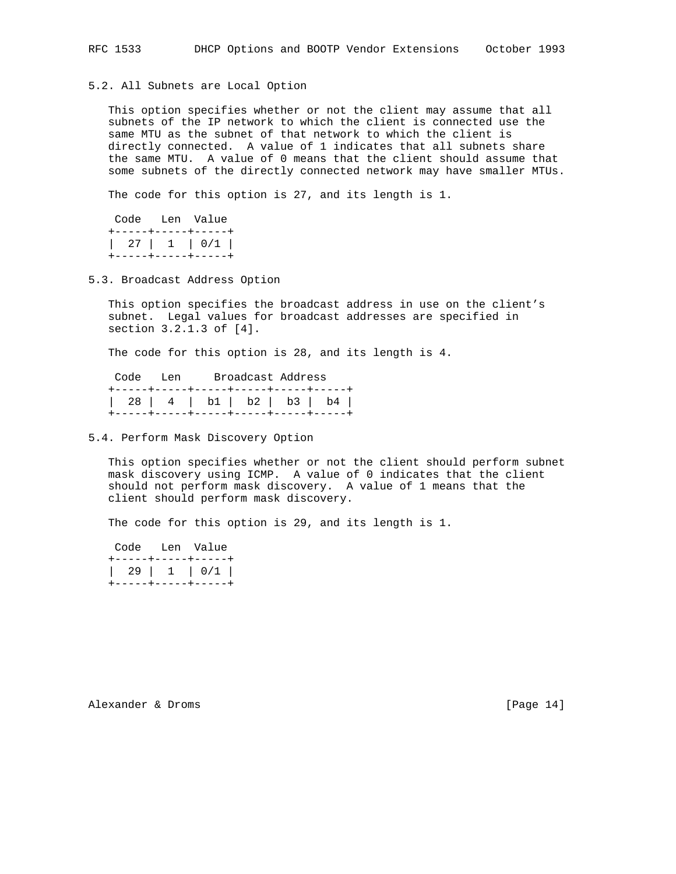5.2. All Subnets are Local Option

 This option specifies whether or not the client may assume that all subnets of the IP network to which the client is connected use the same MTU as the subnet of that network to which the client is directly connected. A value of 1 indicates that all subnets share the same MTU. A value of 0 means that the client should assume that some subnets of the directly connected network may have smaller MTUs.

The code for this option is 27, and its length is 1.

|  | Code Len Value     |
|--|--------------------|
|  | +-----+----+-----+ |
|  | +-----+-----+----+ |

5.3. Broadcast Address Option

 This option specifies the broadcast address in use on the client's subnet. Legal values for broadcast addresses are specified in section 3.2.1.3 of [4].

The code for this option is 28, and its length is 4.

| Code Len |  | Broadcast Address |                                       |  |
|----------|--|-------------------|---------------------------------------|--|
|          |  |                   | +-----+----++-----+-----+-----+----+  |  |
|          |  |                   | 28   4   b1   b2   b3   b4            |  |
|          |  |                   | +-----+-----+-----+-----+-----+----+- |  |

5.4. Perform Mask Discovery Option

 This option specifies whether or not the client should perform subnet mask discovery using ICMP. A value of 0 indicates that the client should not perform mask discovery. A value of 1 means that the client should perform mask discovery.

The code for this option is 29, and its length is 1.

|  | Code Len Value                           |
|--|------------------------------------------|
|  | +-----+-----+----+<br>+-----+-----+----+ |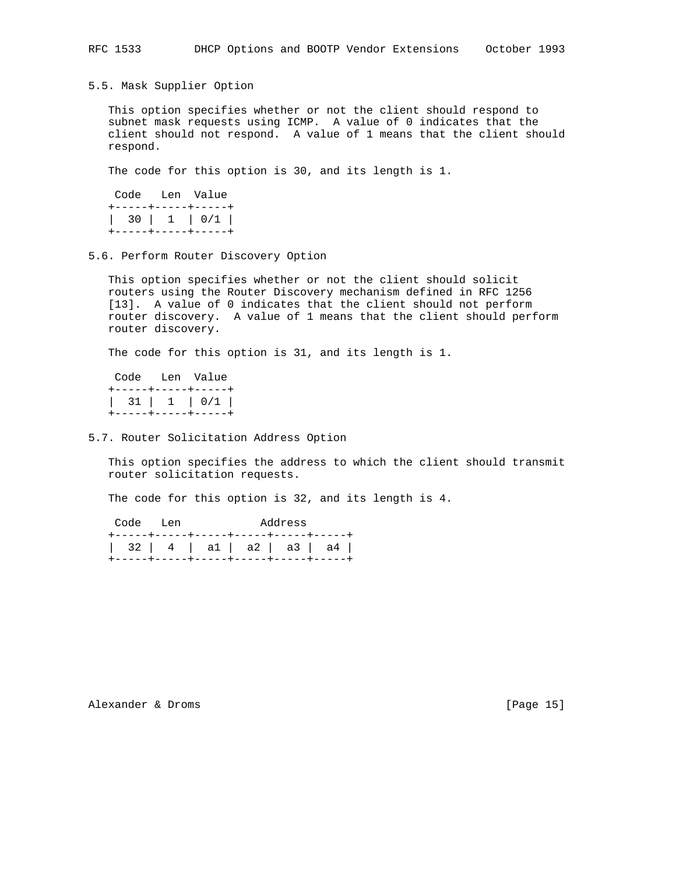5.5. Mask Supplier Option

 This option specifies whether or not the client should respond to subnet mask requests using ICMP. A value of 0 indicates that the client should not respond. A value of 1 means that the client should respond.

The code for this option is 30, and its length is 1.

 Code Len Value +-----+-----+-----+ | 30 | 1 | 0/1 | +-----+-----+-----+

5.6. Perform Router Discovery Option

 This option specifies whether or not the client should solicit routers using the Router Discovery mechanism defined in RFC 1256 [13]. A value of 0 indicates that the client should not perform router discovery. A value of 1 means that the client should perform router discovery.

The code for this option is 31, and its length is 1.

|                    | Code Len Value |
|--------------------|----------------|
| +-----+-----+----+ |                |
|                    | 31   1   0/1   |
| +-----+-----+----+ |                |

5.7. Router Solicitation Address Option

 This option specifies the address to which the client should transmit router solicitation requests.

The code for this option is 32, and its length is 4.

| Code Len |  | Address |                                       |
|----------|--|---------|---------------------------------------|
|          |  |         | +-----+-----+-----+-----+-----+----+- |
|          |  |         | 32   4   a1   a2   a3   a4            |
|          |  |         | +-----+-----+-----+-----+-----+----+- |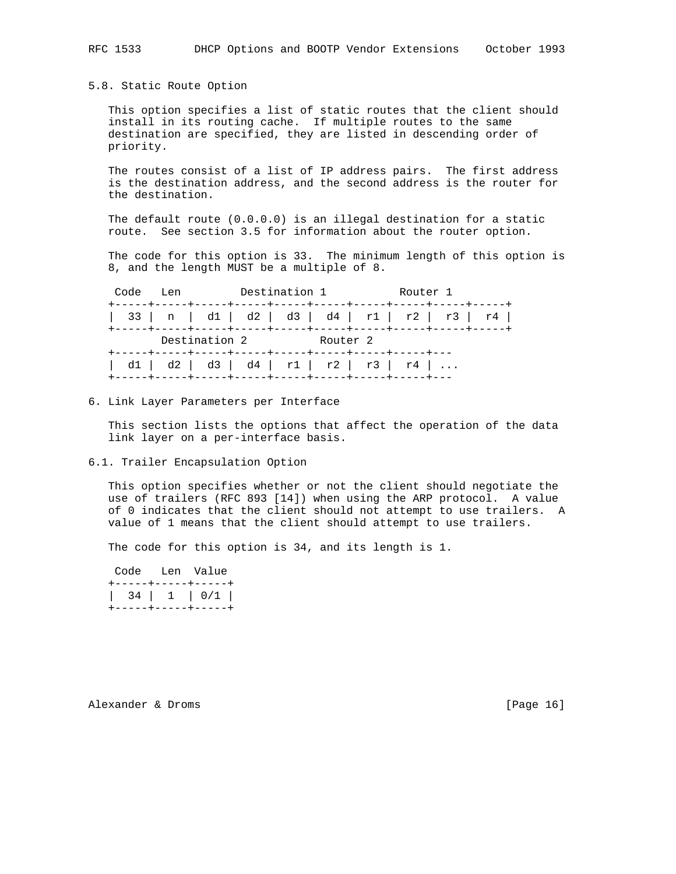## 5.8. Static Route Option

 This option specifies a list of static routes that the client should install in its routing cache. If multiple routes to the same destination are specified, they are listed in descending order of priority.

 The routes consist of a list of IP address pairs. The first address is the destination address, and the second address is the router for the destination.

 The default route (0.0.0.0) is an illegal destination for a static route. See section 3.5 for information about the router option.

 The code for this option is 33. The minimum length of this option is 8, and the length MUST be a multiple of 8.

| Destination 1<br>Code Len |  |                                       |          |  |  | Router 1 |  |  |                                                |  |  |
|---------------------------|--|---------------------------------------|----------|--|--|----------|--|--|------------------------------------------------|--|--|
|                           |  |                                       |          |  |  |          |  |  | 33   n   d1   d2   d3   d4   r1   r2   r3   r4 |  |  |
|                           |  | Destination 2                         | Router 2 |  |  |          |  |  |                                                |  |  |
|                           |  | d1   d2   d3   d4   r1   r2   r3   r4 |          |  |  |          |  |  |                                                |  |  |

#### 6. Link Layer Parameters per Interface

 This section lists the options that affect the operation of the data link layer on a per-interface basis.

6.1. Trailer Encapsulation Option

 This option specifies whether or not the client should negotiate the use of trailers (RFC 893 [14]) when using the ARP protocol. A value of 0 indicates that the client should not attempt to use trailers. A value of 1 means that the client should attempt to use trailers.

The code for this option is 34, and its length is 1.

|                    | Code Len Value |
|--------------------|----------------|
| +-----+-----+----+ |                |
| 34 1 0/1           |                |
| +-----+-----+----+ |                |

Alexander & Droms [Page 16]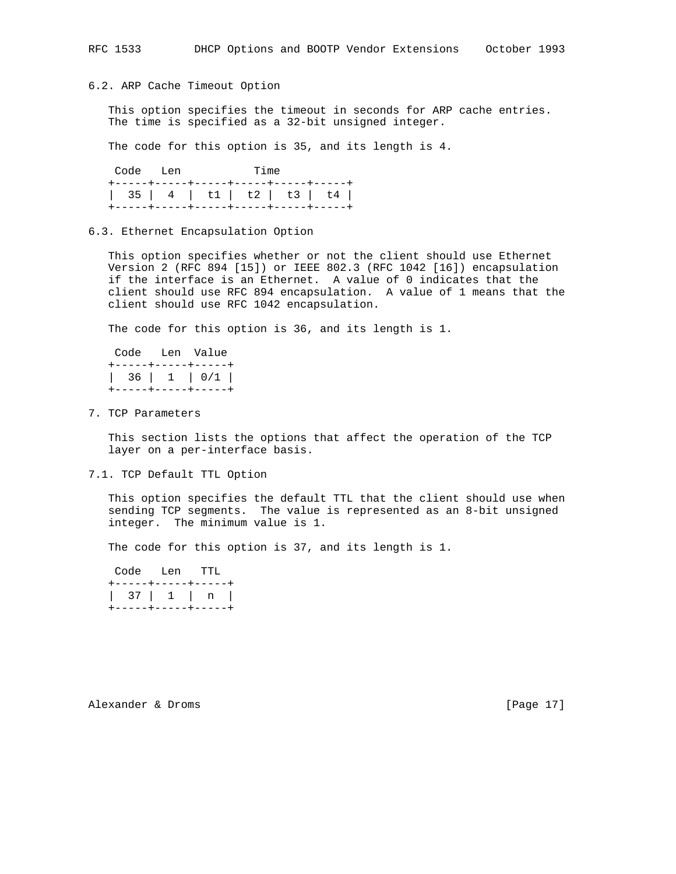### 6.2. ARP Cache Timeout Option

 This option specifies the timeout in seconds for ARP cache entries. The time is specified as a 32-bit unsigned integer.

The code for this option is 35, and its length is 4.

| Code Len |                                        | <b>Time</b> |  |
|----------|----------------------------------------|-------------|--|
|          | +-----+-----+-----+-----+-----+----+-  |             |  |
|          | 35   4   t1   t2   t3   t4             |             |  |
|          | +-----+----+-----+-----+----+----+---- |             |  |

#### 6.3. Ethernet Encapsulation Option

 This option specifies whether or not the client should use Ethernet Version 2 (RFC 894 [15]) or IEEE 802.3 (RFC 1042 [16]) encapsulation if the interface is an Ethernet. A value of 0 indicates that the client should use RFC 894 encapsulation. A value of 1 means that the client should use RFC 1042 encapsulation.

The code for this option is 36, and its length is 1.

| Code Len Value |                                          |  |  |
|----------------|------------------------------------------|--|--|
|                | +-----+-----+----+<br>+-----+-----+----+ |  |  |

7. TCP Parameters

 This section lists the options that affect the operation of the TCP layer on a per-interface basis.

7.1. TCP Default TTL Option

 This option specifies the default TTL that the client should use when sending TCP segments. The value is represented as an 8-bit unsigned integer. The minimum value is 1.

The code for this option is 37, and its length is 1.

|                    | Code Len TTL |                    |  |  |
|--------------------|--------------|--------------------|--|--|
|                    |              | +-----+-----+----+ |  |  |
| 37   1   n         |              |                    |  |  |
| +-----+-----+----+ |              |                    |  |  |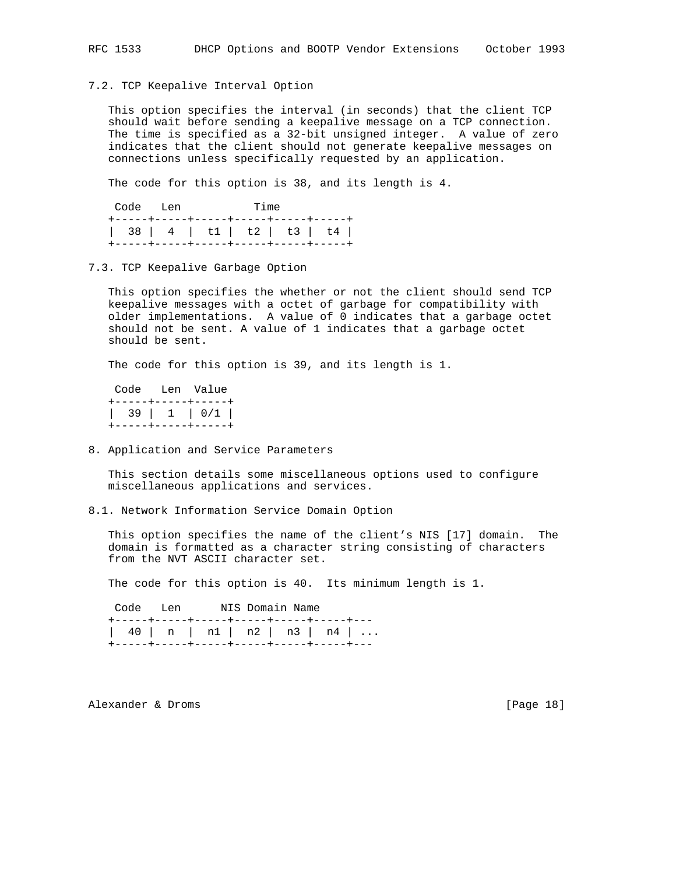### 7.2. TCP Keepalive Interval Option

 This option specifies the interval (in seconds) that the client TCP should wait before sending a keepalive message on a TCP connection. The time is specified as a 32-bit unsigned integer. A value of zero indicates that the client should not generate keepalive messages on connections unless specifically requested by an application.

The code for this option is 38, and its length is 4.

|  | Code Len |  |  | <b>Time</b>                            |  |  |  |
|--|----------|--|--|----------------------------------------|--|--|--|
|  |          |  |  | +-----+-----+-----+-----+-----+----+-  |  |  |  |
|  |          |  |  | 38   4   t1   t2   t3   t4             |  |  |  |
|  |          |  |  | +-----+----+-----+-----+----+----+---- |  |  |  |

#### 7.3. TCP Keepalive Garbage Option

 This option specifies the whether or not the client should send TCP keepalive messages with a octet of garbage for compatibility with older implementations. A value of 0 indicates that a garbage octet should not be sent. A value of 1 indicates that a garbage octet should be sent.

The code for this option is 39, and its length is 1.

|  | Code Len Value                       |
|--|--------------------------------------|
|  | +-----+-----+----+<br>  39   1   0/1 |
|  | +-----+-----+----+                   |

8. Application and Service Parameters

 This section details some miscellaneous options used to configure miscellaneous applications and services.

8.1. Network Information Service Domain Option

 This option specifies the name of the client's NIS [17] domain. The domain is formatted as a character string consisting of characters from the NVT ASCII character set.

The code for this option is 40. Its minimum length is 1.

Code Len NIS Domain Name +-----+-----+-----+-----+-----+-----+--- | 40 | n | n1 | n2 | n3 | n4 | ... +-----+-----+-----+-----+-----+-----+---

Alexander & Droms [Page 18]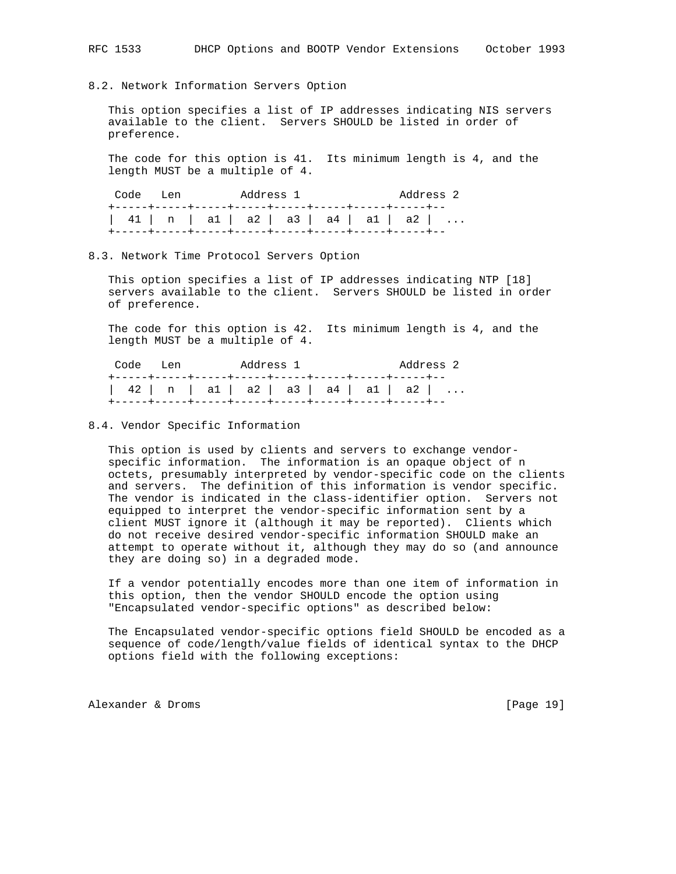### 8.2. Network Information Servers Option

 This option specifies a list of IP addresses indicating NIS servers available to the client. Servers SHOULD be listed in order of preference.

 The code for this option is 41. Its minimum length is 4, and the length MUST be a multiple of 4.

| Code Len |                                        | Address 1 |  |  |  |  |  |
|----------|----------------------------------------|-----------|--|--|--|--|--|
|          | $41$   n   a1   a2   a3   a4   a1   a2 |           |  |  |  |  |  |

### 8.3. Network Time Protocol Servers Option

 This option specifies a list of IP addresses indicating NTP [18] servers available to the client. Servers SHOULD be listed in order of preference.

 The code for this option is 42. Its minimum length is 4, and the length MUST be a multiple of 4.

| Code Len                             |  | Address 1 |  |  |  |  | Address 2 |
|--------------------------------------|--|-----------|--|--|--|--|-----------|
| 42   n   a1   a2   a3   a4   a1   a2 |  |           |  |  |  |  |           |
|                                      |  |           |  |  |  |  |           |

## 8.4. Vendor Specific Information

 This option is used by clients and servers to exchange vendor specific information. The information is an opaque object of n octets, presumably interpreted by vendor-specific code on the clients and servers. The definition of this information is vendor specific. The vendor is indicated in the class-identifier option. Servers not equipped to interpret the vendor-specific information sent by a client MUST ignore it (although it may be reported). Clients which do not receive desired vendor-specific information SHOULD make an attempt to operate without it, although they may do so (and announce they are doing so) in a degraded mode.

 If a vendor potentially encodes more than one item of information in this option, then the vendor SHOULD encode the option using "Encapsulated vendor-specific options" as described below:

 The Encapsulated vendor-specific options field SHOULD be encoded as a sequence of code/length/value fields of identical syntax to the DHCP options field with the following exceptions:

Alexander & Droms [Page 19]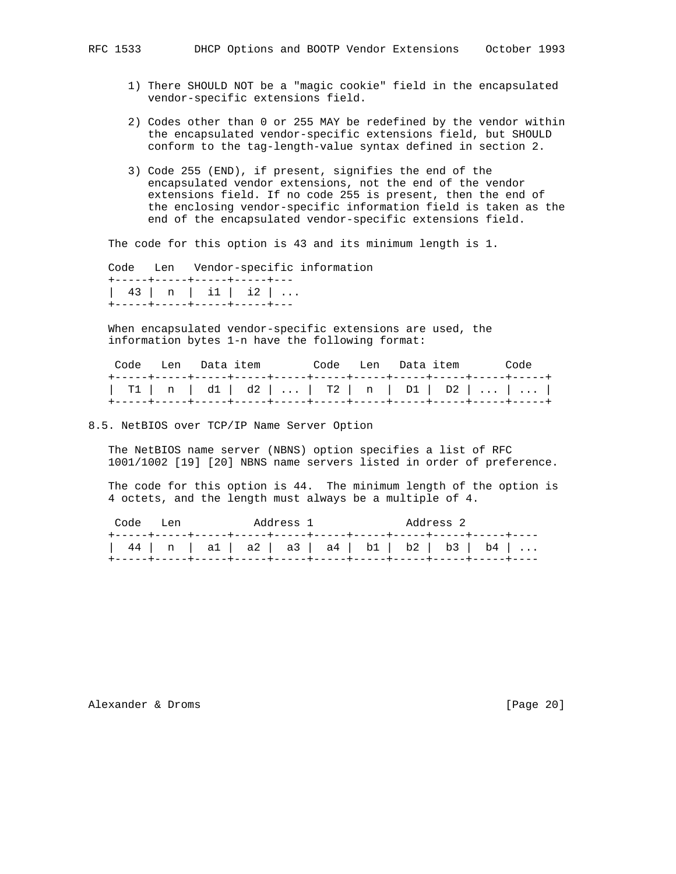- 1) There SHOULD NOT be a "magic cookie" field in the encapsulated vendor-specific extensions field.
- 2) Codes other than 0 or 255 MAY be redefined by the vendor within the encapsulated vendor-specific extensions field, but SHOULD conform to the tag-length-value syntax defined in section 2.
- 3) Code 255 (END), if present, signifies the end of the encapsulated vendor extensions, not the end of the vendor extensions field. If no code 255 is present, then the end of the enclosing vendor-specific information field is taken as the end of the encapsulated vendor-specific extensions field.

The code for this option is 43 and its minimum length is 1.

 Code Len Vendor-specific information +-----+-----+-----+-----+--- | 43 | n | i1 | i2 | ... +-----+-----+-----+-----+---

 When encapsulated vendor-specific extensions are used, the information bytes 1-n have the following format:

|  |  | Code Len Data_item |  |  | Code Len Data_item   Code |  |  |
|--|--|--------------------|--|--|---------------------------|--|--|
|  |  |                    |  |  |                           |  |  |

8.5. NetBIOS over TCP/IP Name Server Option

 The NetBIOS name server (NBNS) option specifies a list of RFC 1001/1002 [19] [20] NBNS name servers listed in order of preference.

 The code for this option is 44. The minimum length of the option is 4 octets, and the length must always be a multiple of 4.

| Code Len |  |                                                | Address 1 |  | Address 2 |  |
|----------|--|------------------------------------------------|-----------|--|-----------|--|
|          |  | 44   n   a1   a2   a3   a4   b1   b2   b3   b4 |           |  |           |  |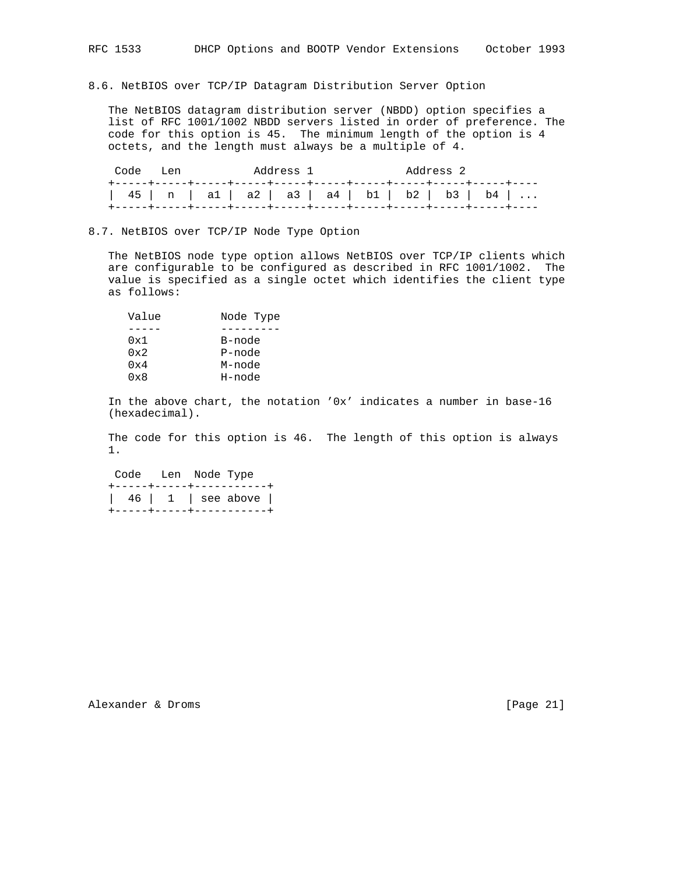## 8.6. NetBIOS over TCP/IP Datagram Distribution Server Option

 The NetBIOS datagram distribution server (NBDD) option specifies a list of RFC 1001/1002 NBDD servers listed in order of preference. The code for this option is 45. The minimum length of the option is 4 octets, and the length must always be a multiple of 4.

| Code Len |  | Address 1                                      |  | Address 2 |  |
|----------|--|------------------------------------------------|--|-----------|--|
|          |  | 45   n   a1   a2   a3   a4   b1   b2   b3   b4 |  |           |  |

#### 8.7. NetBIOS over TCP/IP Node Type Option

 The NetBIOS node type option allows NetBIOS over TCP/IP clients which are configurable to be configured as described in RFC 1001/1002. The value is specified as a single octet which identifies the client type as follows:

| Value        | Node Type |
|--------------|-----------|
|              |           |
| 0x1          | B-node    |
| $0 \times 2$ | P-node    |
| 0x4          | M-node    |
| 0x8          | H-node    |

 In the above chart, the notation '0x' indicates a number in base-16 (hexadecimal).

 The code for this option is 46. The length of this option is always 1.

Code Len Node Type

|  | +-----+-----+-----------+                                                                                                            |
|--|--------------------------------------------------------------------------------------------------------------------------------------|
|  | $\begin{array}{ c c c c c c c c } \hline \end{array}$ 46 $\begin{array}{ c c c c c } \hline 1 & \text{see above} \hline \end{array}$ |
|  | +-----+-----+-----------+                                                                                                            |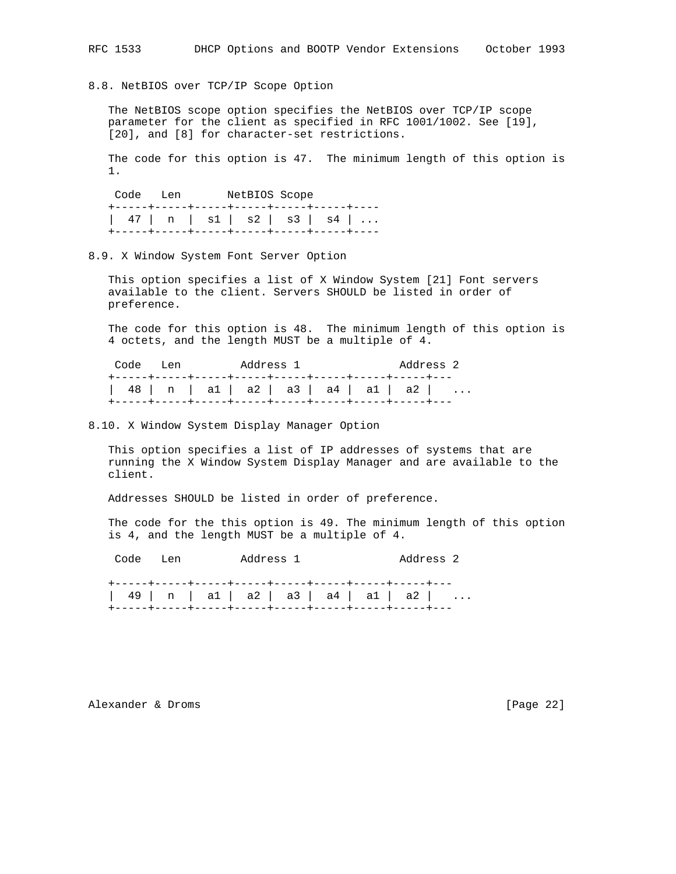8.8. NetBIOS over TCP/IP Scope Option

 The NetBIOS scope option specifies the NetBIOS over TCP/IP scope parameter for the client as specified in RFC 1001/1002. See [19], [20], and [8] for character-set restrictions.

 The code for this option is 47. The minimum length of this option is 1.

 Code Len NetBIOS Scope +-----+-----+-----+-----+-----+-----+---- | 47 | n | s1 | s2 | s3 | s4 | ... +-----+-----+-----+-----+-----+-----+----

8.9. X Window System Font Server Option

 This option specifies a list of X Window System [21] Font servers available to the client. Servers SHOULD be listed in order of preference.

 The code for this option is 48. The minimum length of this option is 4 octets, and the length MUST be a multiple of 4.

| Code Len | Address 1                            | Address 2 |
|----------|--------------------------------------|-----------|
|          | 48   n   a1   a2   a3   a4   a1   a2 |           |

8.10. X Window System Display Manager Option

 This option specifies a list of IP addresses of systems that are running the X Window System Display Manager and are available to the client.

Addresses SHOULD be listed in order of preference.

 The code for the this option is 49. The minimum length of this option is 4, and the length MUST be a multiple of 4.

Code Len Address 1 Address 2

 +-----+-----+-----+-----+-----+-----+-----+-----+--- | 49 | n | a1 | a2 | a3 | a4 | a1 | a2 | ... +-----+-----+-----+-----+-----+-----+-----+-----+---

Alexander & Droms [Page 22]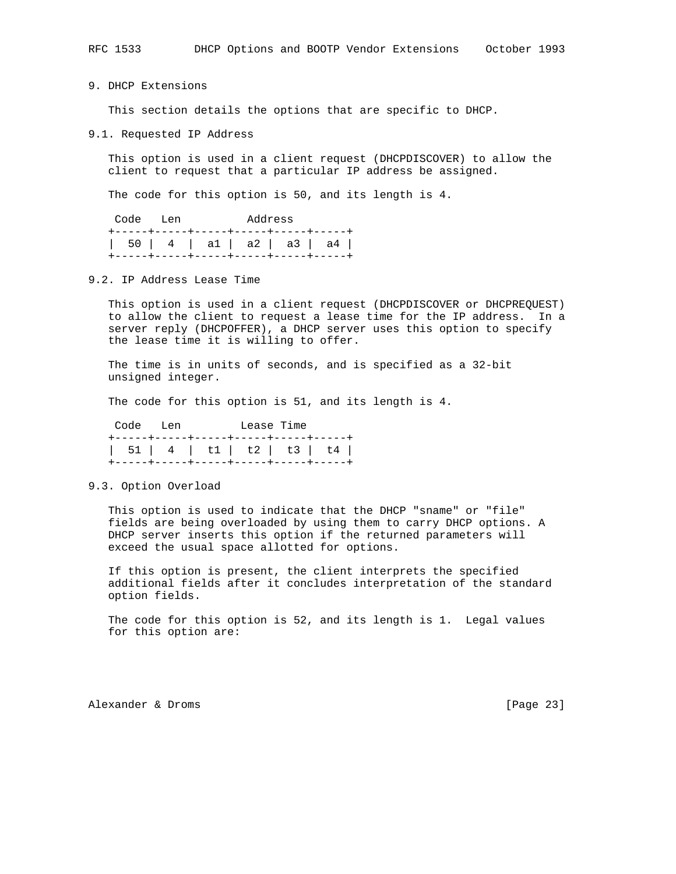RFC 1533 DHCP Options and BOOTP Vendor Extensions October 1993

9. DHCP Extensions

This section details the options that are specific to DHCP.

9.1. Requested IP Address

 This option is used in a client request (DHCPDISCOVER) to allow the client to request that a particular IP address be assigned.

The code for this option is 50, and its length is 4.

|  | Code Len                               |  | Address |  |  |  |  |
|--|----------------------------------------|--|---------|--|--|--|--|
|  | +-----+-----+-----+-----+------+----+- |  |         |  |  |  |  |
|  | 50   4   a1   a2   a3   a4             |  |         |  |  |  |  |
|  | +-----+-----+-----+-----+-----+----+   |  |         |  |  |  |  |

9.2. IP Address Lease Time

 This option is used in a client request (DHCPDISCOVER or DHCPREQUEST) to allow the client to request a lease time for the IP address. In a server reply (DHCPOFFER), a DHCP server uses this option to specify the lease time it is willing to offer.

 The time is in units of seconds, and is specified as a 32-bit unsigned integer.

The code for this option is 51, and its length is 4.

| Code Len |  |                                        | Lease Time |  |
|----------|--|----------------------------------------|------------|--|
|          |  | +-----+----+-----+-----+----+----+---- |            |  |
|          |  |                                        |            |  |
|          |  | +-----+----+-----+-----+----+----+---- |            |  |

9.3. Option Overload

 This option is used to indicate that the DHCP "sname" or "file" fields are being overloaded by using them to carry DHCP options. A DHCP server inserts this option if the returned parameters will exceed the usual space allotted for options.

 If this option is present, the client interprets the specified additional fields after it concludes interpretation of the standard option fields.

 The code for this option is 52, and its length is 1. Legal values for this option are:

Alexander & Droms [Page 23]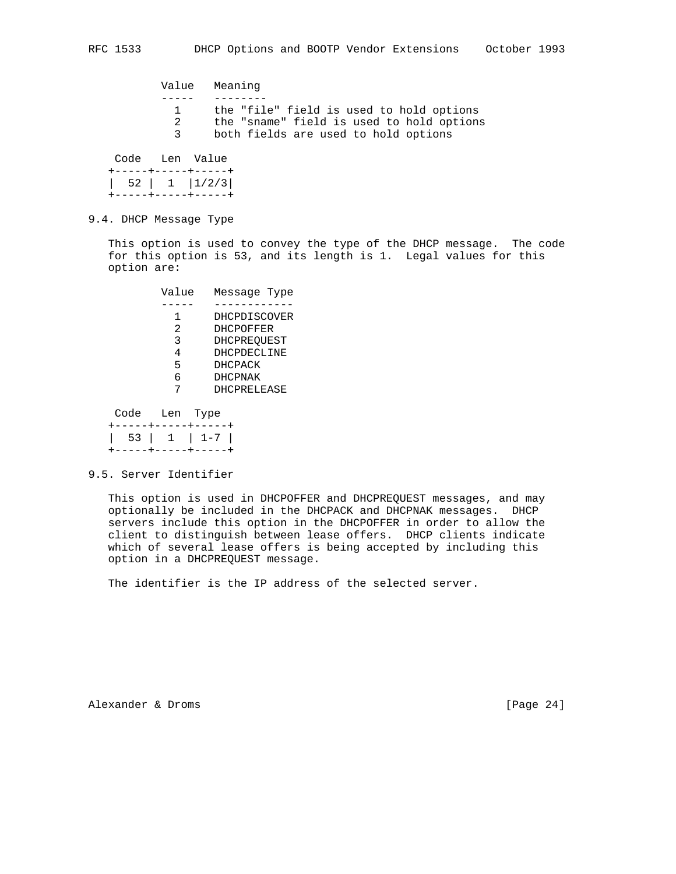Value Meaning ----- -------- 1 the "file" field is used to hold options 2 the "sname" field is used to hold options 3 both fields are used to hold options Code Len Value +-----+-----+-----+ | 52 | 1 |1/2/3|

9.4. DHCP Message Type

+-----+-----+-----+

 This option is used to convey the type of the DHCP message. The code for this option is 53, and its length is 1. Legal values for this option are:

| Value | Message Type       |
|-------|--------------------|
|       |                    |
| 1.    | DHCPDISCOVER       |
| 2.    | <b>DHCPOFFER</b>   |
| 3     | <b>DHCPREOUEST</b> |
| 4     | DHCPDECLINE        |
| 5     | <b>DHCPACK</b>     |
| б     | <b>DHCPNAK</b>     |
|       | <b>DHCPRELEASE</b> |

 Code Len Type +-----+-----+-----+ | 53 | 1 | 1-7 | +-----+-----+-----+

9.5. Server Identifier

 This option is used in DHCPOFFER and DHCPREQUEST messages, and may optionally be included in the DHCPACK and DHCPNAK messages. DHCP servers include this option in the DHCPOFFER in order to allow the client to distinguish between lease offers. DHCP clients indicate which of several lease offers is being accepted by including this option in a DHCPREQUEST message.

The identifier is the IP address of the selected server.

Alexander & Droms [Page 24]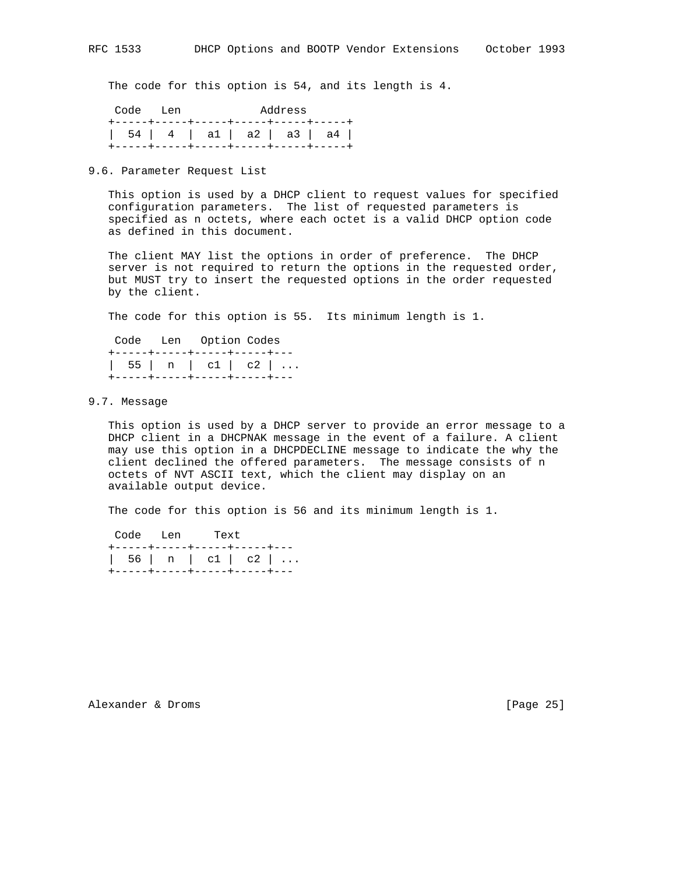The code for this option is 54, and its length is 4.

|  | Code Len                              |  |  | Address |  |  |  |
|--|---------------------------------------|--|--|---------|--|--|--|
|  | +-----+-----+-----+-----+-----+----+- |  |  |         |  |  |  |
|  | 54   4   a1   a2   a3   a4            |  |  |         |  |  |  |
|  | +-----+-----+-----+-----+-----+----+  |  |  |         |  |  |  |

## 9.6. Parameter Request List

 This option is used by a DHCP client to request values for specified configuration parameters. The list of requested parameters is specified as n octets, where each octet is a valid DHCP option code as defined in this document.

 The client MAY list the options in order of preference. The DHCP server is not required to return the options in the requested order, but MUST try to insert the requested options in the order requested by the client.

The code for this option is 55. Its minimum length is 1.

|                              | Code Len Option Codes |  |
|------------------------------|-----------------------|--|
| +-----+-----+-----+----+---  |                       |  |
| 55   n   c1   c2             |                       |  |
| +-----+-----+-----+----+---- |                       |  |

### 9.7. Message

 This option is used by a DHCP server to provide an error message to a DHCP client in a DHCPNAK message in the event of a failure. A client may use this option in a DHCPDECLINE message to indicate the why the client declined the offered parameters. The message consists of n octets of NVT ASCII text, which the client may display on an available output device.

The code for this option is 56 and its minimum length is 1.

|  | Code Len Text                |  |
|--|------------------------------|--|
|  | +-----+-----+-----+-----+--- |  |
|  | 56   n   c1   c2             |  |
|  | +-----+-----+-----+-----+--- |  |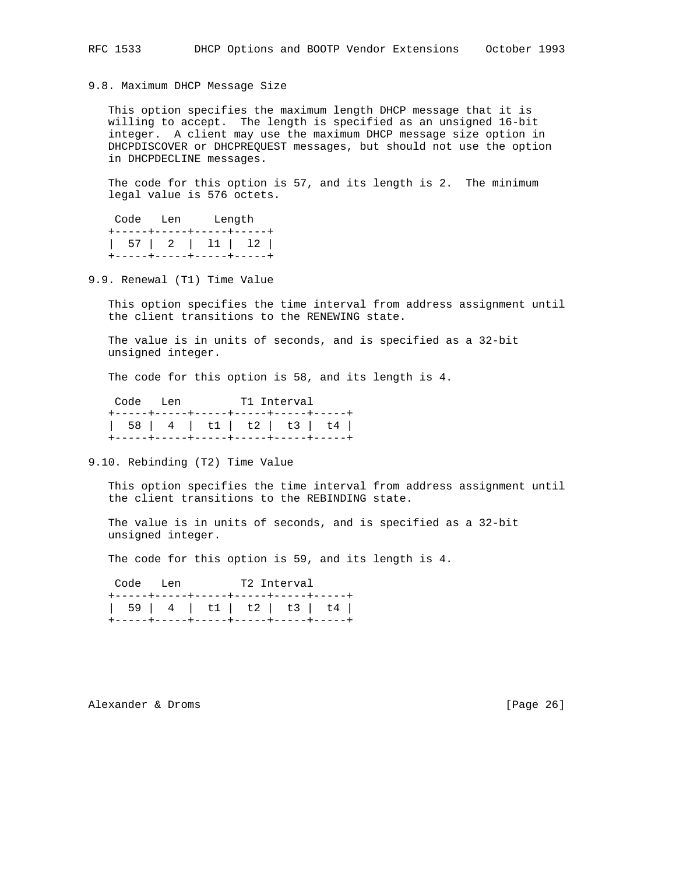9.8. Maximum DHCP Message Size

 This option specifies the maximum length DHCP message that it is willing to accept. The length is specified as an unsigned 16-bit integer. A client may use the maximum DHCP message size option in DHCPDISCOVER or DHCPREQUEST messages, but should not use the option in DHCPDECLINE messages.

 The code for this option is 57, and its length is 2. The minimum legal value is 576 octets.

|                           | Code Len Length |  |
|---------------------------|-----------------|--|
| +-----+-----+-----+-----+ |                 |  |
|                           |                 |  |
| +-----+-----+-----+----+  |                 |  |

9.9. Renewal (T1) Time Value

 This option specifies the time interval from address assignment until the client transitions to the RENEWING state.

 The value is in units of seconds, and is specified as a 32-bit unsigned integer.

The code for this option is 58, and its length is 4.

| Code Len |                                       | T1 Interval |  |
|----------|---------------------------------------|-------------|--|
|          | +-----+-----+-----+-----+-----+----+- |             |  |
|          | 58   4   t1   t2   t3   t4            |             |  |
|          | +-----+-----+-----+-----+-----+----+- |             |  |

9.10. Rebinding (T2) Time Value

 This option specifies the time interval from address assignment until the client transitions to the REBINDING state.

 The value is in units of seconds, and is specified as a 32-bit unsigned integer.

The code for this option is 59, and its length is 4.

Code Len T2 Interval

|  | +-----+-----+-----+------+-----+-----+ |  |  |
|--|----------------------------------------|--|--|
|  |                                        |  |  |
|  |                                        |  |  |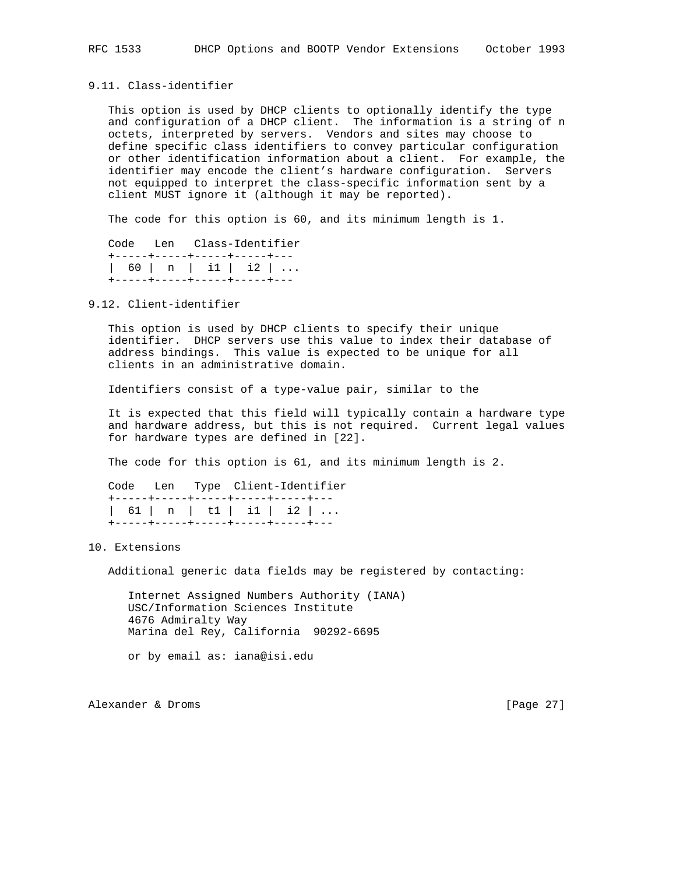## 9.11. Class-identifier

 This option is used by DHCP clients to optionally identify the type and configuration of a DHCP client. The information is a string of n octets, interpreted by servers. Vendors and sites may choose to define specific class identifiers to convey particular configuration or other identification information about a client. For example, the identifier may encode the client's hardware configuration. Servers not equipped to interpret the class-specific information sent by a client MUST ignore it (although it may be reported).

The code for this option is 60, and its minimum length is 1.

|  | Code Len Class-Identifier    |  |
|--|------------------------------|--|
|  | +-----+-----+-----+-----+--- |  |
|  | 60   n   11   12             |  |
|  | +-----+-----+-----+-----+--- |  |

## 9.12. Client-identifier

 This option is used by DHCP clients to specify their unique identifier. DHCP servers use this value to index their database of address bindings. This value is expected to be unique for all clients in an administrative domain.

Identifiers consist of a type-value pair, similar to the

 It is expected that this field will typically contain a hardware type and hardware address, but this is not required. Current legal values for hardware types are defined in [22].

The code for this option is 61, and its minimum length is 2.

```
 Code Len Type Client-Identifier
+-----+-----+-----+-----+-----+---
| 61 | n | t1 | i1 | i2 | ...
+-----+-----+-----+-----+-----+---
```
#### 10. Extensions

Additional generic data fields may be registered by contacting:

 Internet Assigned Numbers Authority (IANA) USC/Information Sciences Institute 4676 Admiralty Way Marina del Rey, California 90292-6695

or by email as: iana@isi.edu

Alexander & Droms [Page 27]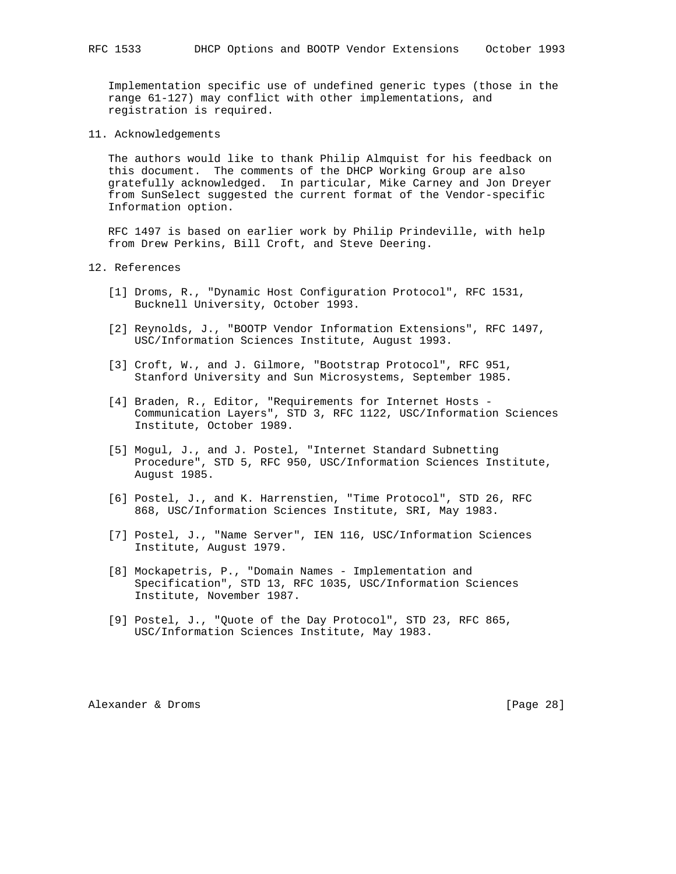Implementation specific use of undefined generic types (those in the range 61-127) may conflict with other implementations, and registration is required.

11. Acknowledgements

 The authors would like to thank Philip Almquist for his feedback on this document. The comments of the DHCP Working Group are also gratefully acknowledged. In particular, Mike Carney and Jon Dreyer from SunSelect suggested the current format of the Vendor-specific Information option.

 RFC 1497 is based on earlier work by Philip Prindeville, with help from Drew Perkins, Bill Croft, and Steve Deering.

12. References

- [1] Droms, R., "Dynamic Host Configuration Protocol", RFC 1531, Bucknell University, October 1993.
- [2] Reynolds, J., "BOOTP Vendor Information Extensions", RFC 1497, USC/Information Sciences Institute, August 1993.
- [3] Croft, W., and J. Gilmore, "Bootstrap Protocol", RFC 951, Stanford University and Sun Microsystems, September 1985.
- [4] Braden, R., Editor, "Requirements for Internet Hosts - Communication Layers", STD 3, RFC 1122, USC/Information Sciences Institute, October 1989.
- [5] Mogul, J., and J. Postel, "Internet Standard Subnetting Procedure", STD 5, RFC 950, USC/Information Sciences Institute, August 1985.
- [6] Postel, J., and K. Harrenstien, "Time Protocol", STD 26, RFC 868, USC/Information Sciences Institute, SRI, May 1983.
- [7] Postel, J., "Name Server", IEN 116, USC/Information Sciences Institute, August 1979.
- [8] Mockapetris, P., "Domain Names Implementation and Specification", STD 13, RFC 1035, USC/Information Sciences Institute, November 1987.
- [9] Postel, J., "Quote of the Day Protocol", STD 23, RFC 865, USC/Information Sciences Institute, May 1983.

Alexander & Droms [Page 28]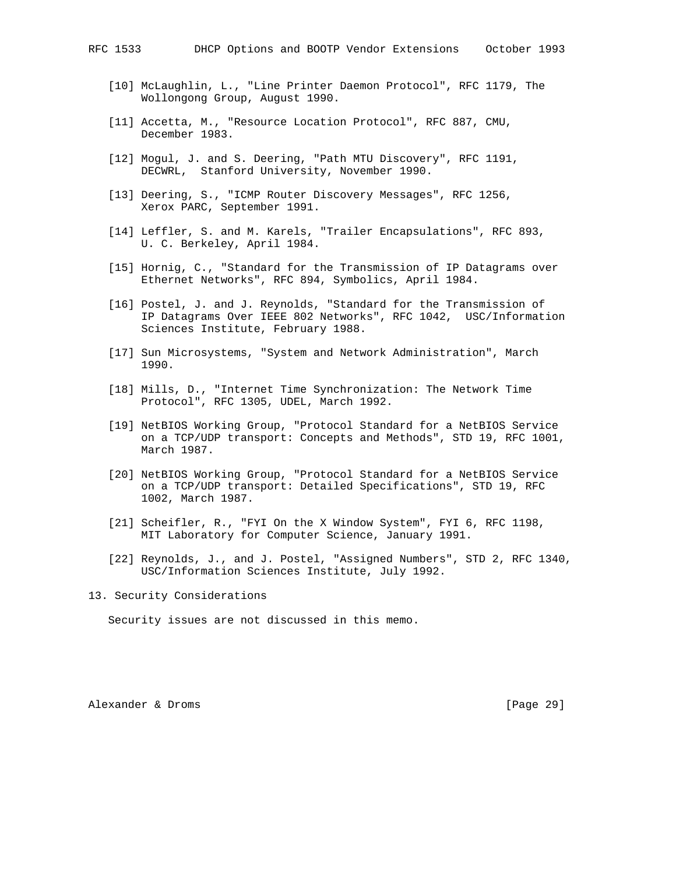- [10] McLaughlin, L., "Line Printer Daemon Protocol", RFC 1179, The Wollongong Group, August 1990.
- [11] Accetta, M., "Resource Location Protocol", RFC 887, CMU, December 1983.
- [12] Mogul, J. and S. Deering, "Path MTU Discovery", RFC 1191, DECWRL, Stanford University, November 1990.
- [13] Deering, S., "ICMP Router Discovery Messages", RFC 1256, Xerox PARC, September 1991.
- [14] Leffler, S. and M. Karels, "Trailer Encapsulations", RFC 893, U. C. Berkeley, April 1984.
- [15] Hornig, C., "Standard for the Transmission of IP Datagrams over Ethernet Networks", RFC 894, Symbolics, April 1984.
- [16] Postel, J. and J. Reynolds, "Standard for the Transmission of IP Datagrams Over IEEE 802 Networks", RFC 1042, USC/Information Sciences Institute, February 1988.
- [17] Sun Microsystems, "System and Network Administration", March 1990.
- [18] Mills, D., "Internet Time Synchronization: The Network Time Protocol", RFC 1305, UDEL, March 1992.
- [19] NetBIOS Working Group, "Protocol Standard for a NetBIOS Service on a TCP/UDP transport: Concepts and Methods", STD 19, RFC 1001, March 1987.
- [20] NetBIOS Working Group, "Protocol Standard for a NetBIOS Service on a TCP/UDP transport: Detailed Specifications", STD 19, RFC 1002, March 1987.
- [21] Scheifler, R., "FYI On the X Window System", FYI 6, RFC 1198, MIT Laboratory for Computer Science, January 1991.
- [22] Reynolds, J., and J. Postel, "Assigned Numbers", STD 2, RFC 1340, USC/Information Sciences Institute, July 1992.

13. Security Considerations

Security issues are not discussed in this memo.

Alexander & Droms [Page 29]